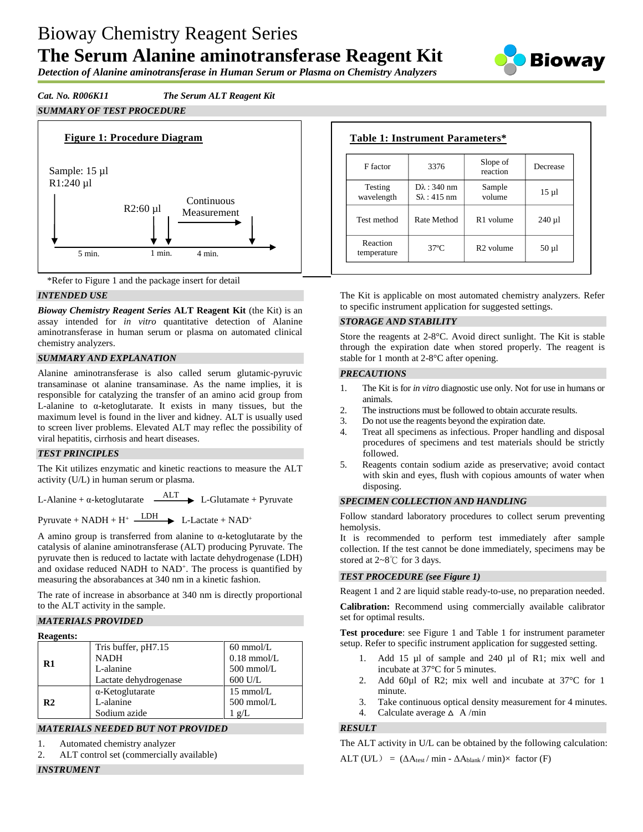# Bioway Chemistry Reagent Series

# **The Serum Alanine aminotransferase Reagent Kit**



*Detection of Alanine aminotransferase in Human Serum or Plasma on Chemistry Analyzers*

*Cat. No. R006K11 The Serum ALT Reagent Kit*

*SUMMARY OF TEST PROCEDURE*





## *INTENDED USE*

*Bioway Chemistry Reagent Series* **ALT Reagent Kit** (the Kit) is an assay intended for *in vitro* quantitative detection of Alanine aminotransferase in human serum or plasma on automated clinical chemistry analyzers.

#### *SUMMARY AND EXPLANATION*

Alanine aminotransferase is also called serum glutamic-pyruvic transaminase ot alanine transaminase. As the name implies, it is responsible for catalyzing the transfer of an amino acid group from L-alanine to α-ketoglutarate. It exists in many tissues, but the maximum level is found in the liver and kidney. ALT is usually used to screen liver problems. Elevated ALT may reflec the possibility of viral hepatitis, cirrhosis and heart diseases.

#### *TEST PRINCIPLES*

The Kit utilizes enzymatic and kinetic reactions to measure the ALT activity (U/L) in human serum or plasma.

L-Alanine +  $\alpha$ -ketoglutarate  $\overrightarrow{ALT}$  L-Glutamate + Pyruvate

Pyruvate + NADH +  $H^+$   $\longrightarrow$  L-Lactate + NAD<sup>+</sup>

A amino group is transferred from alanine to α-ketoglutarate by the catalysis of alanine aminotransferase (ALT) producing Pyruvate. The pyruvate then is reduced to lactate with lactate dehydrogenase (LDH) and oxidase reduced NADH to NAD<sup>+</sup>. The process is quantified by measuring the absorabances at 340 nm in a kinetic fashion.

The rate of increase in absorbance at 340 nm is directly proportional to the ALT activity in the sample.

## *MATERIALS PROVIDED*

| <b>Reagents:</b> |
|------------------|
|------------------|

| ксачения.      |                         |                     |
|----------------|-------------------------|---------------------|
|                | Tris buffer, pH7.15     | $60 \text{ mmol/L}$ |
| $\mathbf{R}1$  | <b>NADH</b>             | $0.18$ mmol/L       |
|                | L-alanine               | $500$ mmol/L        |
|                | Lactate dehydrogenase   | $600$ U/L           |
|                | $\alpha$ -Ketoglutarate | $15 \text{ mmol/L}$ |
| R <sub>2</sub> | L-alanine               | $500$ mmol/L        |
|                | Sodium azide            | $1 \text{ g/L}$     |
|                |                         |                     |

#### *MATERIALS NEEDED BUT NOT PROVIDED*

- 1. Automated chemistry analyzer
- 2. ALT control set (commercially available)

# *INSTRUMENT*

| F factor                | 3376                                          | Slope of<br>reaction  | Decrease   |
|-------------------------|-----------------------------------------------|-----------------------|------------|
| Testing<br>wavelength   | $D\lambda$ : 340 nm<br>$S_{\lambda}$ : 415 nm | Sample<br>volume      | $15 \mu$ l |
| Test method             | Rate Method                                   | R <sub>1</sub> volume | $240 \mu$  |
| Reaction<br>temperature | $37^{\circ}C$                                 | R <sub>2</sub> volume | $50 \mu l$ |

The Kit is applicable on most automated chemistry analyzers. Refer to specific instrument application for suggested settings.

#### *STORAGE AND STABILITY*

Store the reagents at 2-8°C. Avoid direct sunlight. The Kit is stable through the expiration date when stored properly. The reagent is stable for 1 month at 2-8°C after opening.

#### *PRECAUTIONS*

- 1. The Kit is for *in vitro* diagnostic use only. Not for use in humans or animals.
- 2. The instructions must be followed to obtain accurate results.
- 3. Do not use the reagents beyond the expiration date.
- 4. Treat all specimens as infectious. Proper handling and disposal procedures of specimens and test materials should be strictly followed.
- 5. Reagents contain sodium azide as preservative; avoid contact with skin and eyes, flush with copious amounts of water when disposing.

#### *SPECIMEN COLLECTION AND HANDLING*

Follow standard laboratory procedures to collect serum preventing hemolysis.

It is recommended to perform test immediately after sample collection. If the test cannot be done immediately, specimens may be stored at 2~8℃ for 3 days.

#### *TEST PROCEDURE (see Figure 1)*

Reagent 1 and 2 are liquid stable ready-to-use, no preparation needed.

**Calibration:** Recommend using commercially available calibrator set for optimal results.

**Test procedure**: see Figure 1 and Table 1 for instrument parameter setup. Refer to specific instrument application for suggested setting.

- 1. Add 15 µl of sample and 240 µl of R1; mix well and incubate at 37°C for 5 minutes.
- 2. Add 60µl of R2; mix well and incubate at 37°C for 1 minute.
- 3. Take continuous optical density measurement for 4 minutes.
- 4. Calculate average  $\triangle$  A/min

#### *RESULT*

The ALT activity in U/L can be obtained by the following calculation:  $ALT (UL) = (\Delta A_{\text{test}} / \min - \Delta A_{\text{blank}} / \min) \times$  factor (F)